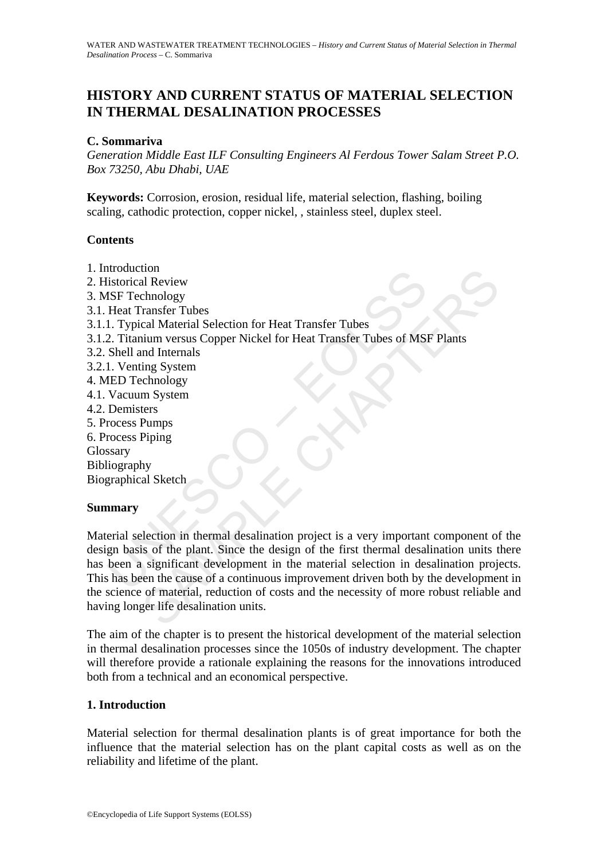# **HISTORY AND CURRENT STATUS OF MATERIAL SELECTION IN THERMAL DESALINATION PROCESSES**

#### **C. Sommariva**

*Generation Middle East ILF Consulting Engineers Al Ferdous Tower Salam Street P.O. Box 73250, Abu Dhabi, UAE* 

**Keywords:** Corrosion, erosion, residual life, material selection, flashing, boiling scaling, cathodic protection, copper nickel, , stainless steel, duplex steel.

#### **Contents**

mouteum<br>
instorical Review<br>
ISE Technology<br>
Heat Transfer Tubes<br>
1. Typical Material Selection for Heat Transfer Tubes<br>
2. Titanium versus Copper Nickel for Heat Transfer Tubes of MS<br>
1. Venting System<br>
1. Venting System<br> non<br>
al Review<br>
al Review<br>
chanders Tubes<br>
cal Material Selection for Heat Transfer Tubes<br>
inum versus Copper Nickel for Heat Transfer Tubes of MSF Plants<br>
and Internals<br>
mg System<br>
m System<br>
m System<br>
ers<br>
Pumps<br>
Piping<br> 1. Introduction 2. Historical Review 3. MSF Technology 3.1. Heat Transfer Tubes 3.1.1. Typical Material Selection for Heat Transfer Tubes 3.1.2. Titanium versus Copper Nickel for Heat Transfer Tubes of MSF Plants 3.2. Shell and Internals 3.2.1. Venting System 4. MED Technology 4.1. Vacuum System 4.2. Demisters 5. Process Pumps 6. Process Piping **Glossary** Bibliography Biographical Sketch

## **Summary**

Material selection in thermal desalination project is a very important component of the design basis of the plant. Since the design of the first thermal desalination units there has been a significant development in the material selection in desalination projects. This has been the cause of a continuous improvement driven both by the development in the science of material, reduction of costs and the necessity of more robust reliable and having longer life desalination units.

The aim of the chapter is to present the historical development of the material selection in thermal desalination processes since the 1050s of industry development. The chapter will therefore provide a rationale explaining the reasons for the innovations introduced both from a technical and an economical perspective.

## **1. Introduction**

Material selection for thermal desalination plants is of great importance for both the influence that the material selection has on the plant capital costs as well as on the reliability and lifetime of the plant.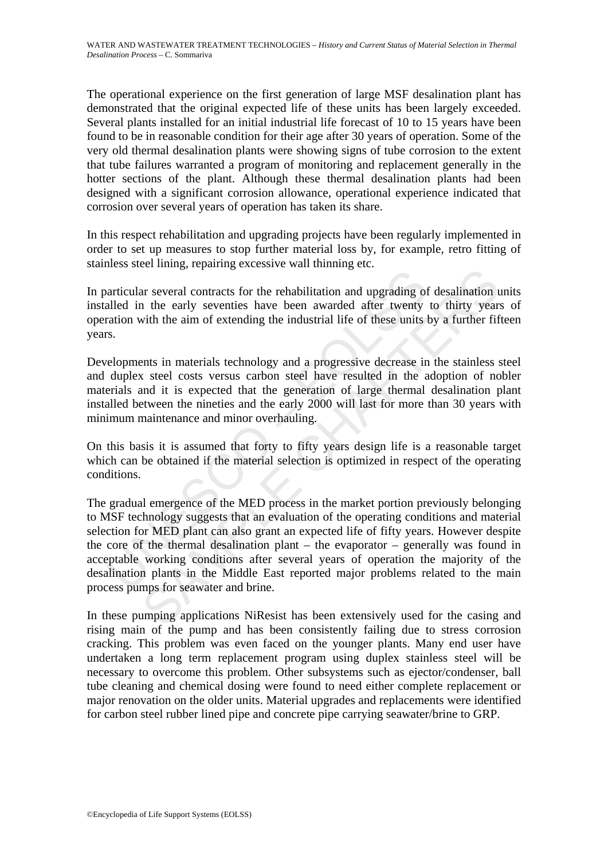The operational experience on the first generation of large MSF desalination plant has demonstrated that the original expected life of these units has been largely exceeded. Several plants installed for an initial industrial life forecast of 10 to 15 years have been found to be in reasonable condition for their age after 30 years of operation. Some of the very old thermal desalination plants were showing signs of tube corrosion to the extent that tube failures warranted a program of monitoring and replacement generally in the hotter sections of the plant. Although these thermal desalination plants had been designed with a significant corrosion allowance, operational experience indicated that corrosion over several years of operation has taken its share.

In this respect rehabilitation and upgrading projects have been regularly implemented in order to set up measures to stop further material loss by, for example, retro fitting of stainless steel lining, repairing excessive wall thinning etc.

In particular several contracts for the rehabilitation and upgrading of desalination units installed in the early seventies have been awarded after twenty to thirty years of operation with the aim of extending the industrial life of these units by a further fifteen years.

Developments in materials technology and a progressive decrease in the stainless steel and duplex steel costs versus carbon steel have resulted in the adoption of nobler materials and it is expected that the generation of large thermal desalination plant installed between the nineties and the early 2000 will last for more than 30 years with minimum maintenance and minor overhauling.

On this basis it is assumed that forty to fifty years design life is a reasonable target which can be obtained if the material selection is optimized in respect of the operating conditions.

articular several contracts for the rehabilitation and upgrading of<br>alled in the early seventies have been awarded after twenty<br>ration with the aim of extending the industrial life of these units 1<br>5.<br>The energy steel cost Example and contracts for the rehabilitation and upgrading of desalination in the early seventies have been awarded after twenty to thirty year<br>at several contracts for the rehabilitation and upgrading of desalination in<br>t The gradual emergence of the MED process in the market portion previously belonging to MSF technology suggests that an evaluation of the operating conditions and material selection for MED plant can also grant an expected life of fifty years. However despite the core of the thermal desalination plant – the evaporator – generally was found in acceptable working conditions after several years of operation the majority of the desalination plants in the Middle East reported major problems related to the main process pumps for seawater and brine.

In these pumping applications NiResist has been extensively used for the casing and rising main of the pump and has been consistently failing due to stress corrosion cracking. This problem was even faced on the younger plants. Many end user have undertaken a long term replacement program using duplex stainless steel will be necessary to overcome this problem. Other subsystems such as ejector/condenser, ball tube cleaning and chemical dosing were found to need either complete replacement or major renovation on the older units. Material upgrades and replacements were identified for carbon steel rubber lined pipe and concrete pipe carrying seawater/brine to GRP.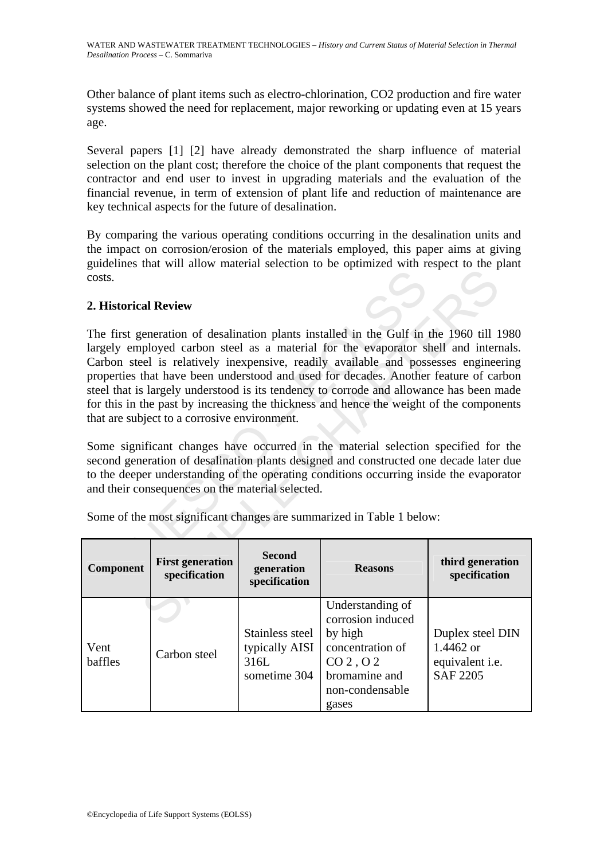Other balance of plant items such as electro-chlorination, CO2 production and fire water systems showed the need for replacement, major reworking or updating even at 15 years age.

Several papers [1] [2] have already demonstrated the sharp influence of material selection on the plant cost; therefore the choice of the plant components that request the contractor and end user to invest in upgrading materials and the evaluation of the financial revenue, in term of extension of plant life and reduction of maintenance are key technical aspects for the future of desalination.

By comparing the various operating conditions occurring in the desalination units and the impact on corrosion/erosion of the materials employed, this paper aims at giving guidelines that will allow material selection to be optimized with respect to the plant costs.

## **2. Historical Review**

UNESCO – EOLSS and Review<br>
and Review<br>
and Review<br>
and Review<br>
ceneration of desalination plants installed in the Gulf in the 1960 till<br>
ployed carbon steel as a material for the evaporator shell and inter-<br>
exhibitable and possess engin The first generation of desalination plants installed in the Gulf in the 1960 till 1980 largely employed carbon steel as a material for the evaporator shell and internals. Carbon steel is relatively inexpensive, readily available and possesses engineering properties that have been understood and used for decades. Another feature of carbon steel that is largely understood is its tendency to corrode and allowance has been made for this in the past by increasing the thickness and hence the weight of the components that are subject to a corrosive environment.

Some significant changes have occurred in the material selection specified for the second generation of desalination plants designed and constructed one decade later due to the deeper understanding of the operating conditions occurring inside the evaporator and their consequences on the material selected.

| <b>Component</b> | <b>First generation</b><br>specification | <b>Second</b><br>generation<br>specification              | <b>Reasons</b>                                                                                                                                        | third generation<br>specification                                          |
|------------------|------------------------------------------|-----------------------------------------------------------|-------------------------------------------------------------------------------------------------------------------------------------------------------|----------------------------------------------------------------------------|
| Vent<br>baffles  | Carbon steel                             | Stainless steel<br>typically AISI<br>316L<br>sometime 304 | Understanding of<br>corrosion induced<br>by high<br>concentration of<br>CO <sub>2</sub> , O <sub>2</sub><br>bromamine and<br>non-condensable<br>gases | Duplex steel DIN<br>1.4462 or<br>equivalent <i>i.e.</i><br><b>SAF 2205</b> |

Some of the most significant changes are summarized in Table 1 below: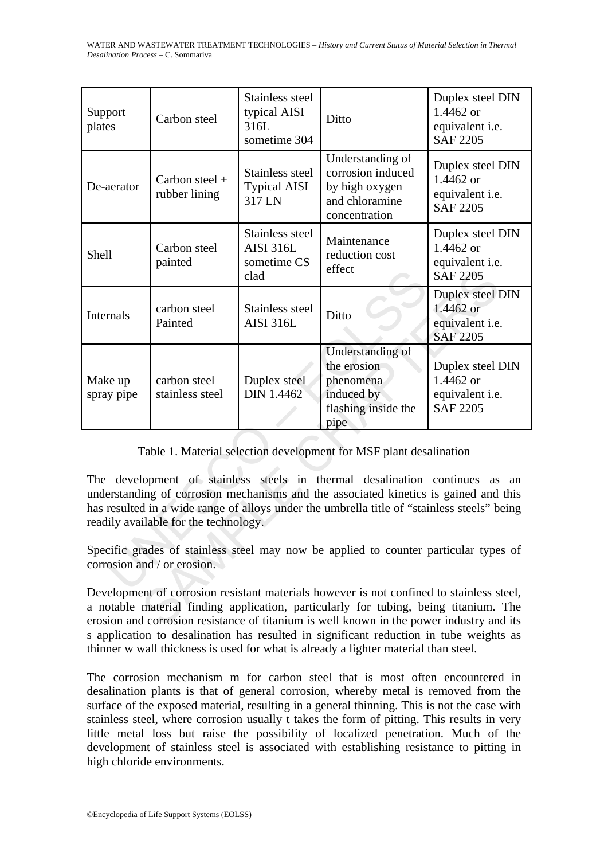WATER AND WASTEWATER TREATMENT TECHNOLOGIES – *History and Current Status of Material Selection in Thermal Desalination Process* – C. Sommariva

| Support<br>plates                                                                                                                                                                                                                                                                                              | Carbon steel                      | Stainless steel<br>typical AISI<br>316L                    | Ditto                                                                                      | Duplex steel DIN<br>1.4462 or<br>equivalent <i>i.e.</i>                    |  |  |
|----------------------------------------------------------------------------------------------------------------------------------------------------------------------------------------------------------------------------------------------------------------------------------------------------------------|-----------------------------------|------------------------------------------------------------|--------------------------------------------------------------------------------------------|----------------------------------------------------------------------------|--|--|
|                                                                                                                                                                                                                                                                                                                |                                   | sometime 304                                               |                                                                                            | <b>SAF 2205</b>                                                            |  |  |
| De-aerator                                                                                                                                                                                                                                                                                                     | Carbon steel $+$<br>rubber lining | Stainless steel<br><b>Typical AISI</b><br>317 LN           | Understanding of<br>corrosion induced<br>by high oxygen<br>and chloramine<br>concentration | Duplex steel DIN<br>1.4462 or<br>equivalent <i>i.e.</i><br><b>SAF 2205</b> |  |  |
| <b>Shell</b>                                                                                                                                                                                                                                                                                                   | Carbon steel<br>painted           | Stainless steel<br><b>AISI 316L</b><br>sometime CS<br>clad | Maintenance<br>reduction cost<br>effect                                                    | Duplex steel DIN<br>1.4462 or<br>equivalent <i>i.e.</i><br><b>SAF 2205</b> |  |  |
| Internals                                                                                                                                                                                                                                                                                                      | carbon steel<br>Painted           | Stainless steel<br><b>AISI 316L</b>                        | Ditto                                                                                      | Duplex steel DIN<br>1.4462 or<br>equivalent <i>i.e.</i><br><b>SAF 2205</b> |  |  |
| Make up<br>spray pipe                                                                                                                                                                                                                                                                                          | carbon steel<br>stainless steel   | Duplex steel<br>DIN 1.4462                                 | Understanding of<br>the erosion<br>phenomena<br>induced by<br>flashing inside the<br>pipe  | Duplex steel DIN<br>1.4462 or<br>equivalent <i>i.e.</i><br><b>SAF 2205</b> |  |  |
| Table 1. Material selection development for MSF plant desalination                                                                                                                                                                                                                                             |                                   |                                                            |                                                                                            |                                                                            |  |  |
|                                                                                                                                                                                                                                                                                                                |                                   |                                                            |                                                                                            |                                                                            |  |  |
| The development of stainless steels in thermal desalination continues as<br>an<br>understanding of corrosion mechanisms and the associated kinetics is gained and this<br>has resulted in a wide range of alloys under the umbrella title of "stainless steels" being<br>readily available for the technology. |                                   |                                                            |                                                                                            |                                                                            |  |  |
| Specific grades of stainless steel may now be applied to counter particular types of<br>corrosion and / or erosion.                                                                                                                                                                                            |                                   |                                                            |                                                                                            |                                                                            |  |  |
| Development of corrosion resistant materials however is not confined to stainless steel,<br>a notable material finding application, particularly for tubing, being titanium. The<br>erosion and corrosion resistance of titanium is well known in the power industry and its                                   |                                   |                                                            |                                                                                            |                                                                            |  |  |

Development of corrosion resistant materials however is not confined to stainless steel, a notable material finding application, particularly for tubing, being titanium. The erosion and corrosion resistance of titanium is well known in the power industry and its s application to desalination has resulted in significant reduction in tube weights as thinner w wall thickness is used for what is already a lighter material than steel.

The corrosion mechanism m for carbon steel that is most often encountered in desalination plants is that of general corrosion, whereby metal is removed from the surface of the exposed material, resulting in a general thinning. This is not the case with stainless steel, where corrosion usually t takes the form of pitting. This results in very little metal loss but raise the possibility of localized penetration. Much of the development of stainless steel is associated with establishing resistance to pitting in high chloride environments.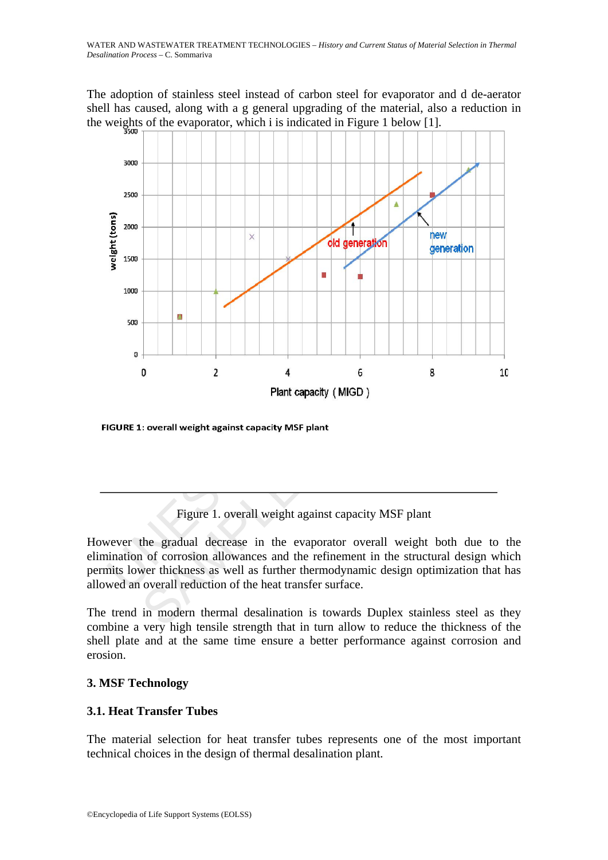The adoption of stainless steel instead of carbon steel for evaporator and d de-aerator shell has caused, along with a g general upgrading of the material, also a reduction in the weights of the evaporator, which i is indicated in Figure 1 below [1].



## Figure 1. overall weight against capacity MSF plant

However the gradual decrease in the evaporator overall weight both due to the elimination of corrosion allowances and the refinement in the structural design which permits lower thickness as well as further thermodynamic design optimization that has allowed an overall reduction of the heat transfer surface.

The trend in modern thermal desalination is towards Duplex stainless steel as they combine a very high tensile strength that in turn allow to reduce the thickness of the shell plate and at the same time ensure a better performance against corrosion and erosion.

## **3. MSF Technology**

## **3.1. Heat Transfer Tubes**

The material selection for heat transfer tubes represents one of the most important technical choices in the design of thermal desalination plant.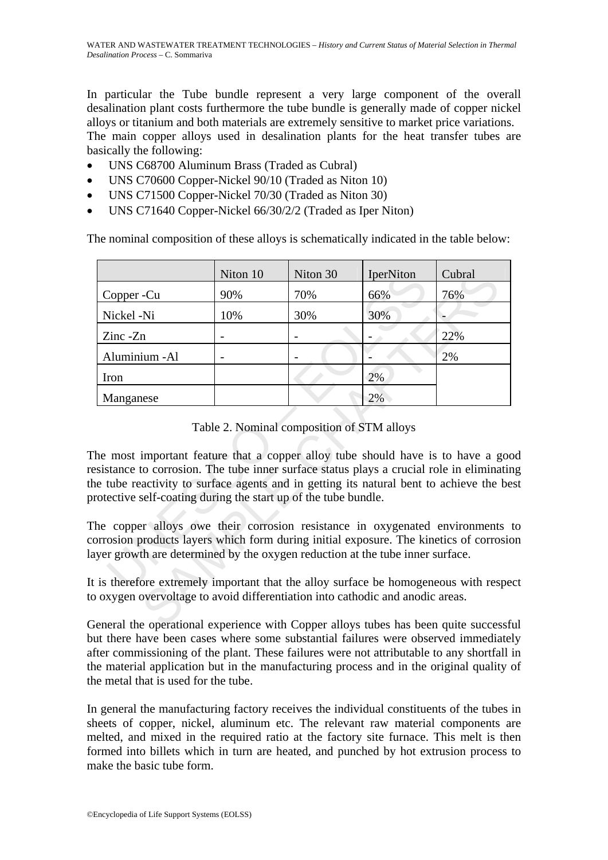In particular the Tube bundle represent a very large component of the overall desalination plant costs furthermore the tube bundle is generally made of copper nickel alloys or titanium and both materials are extremely sensitive to market price variations. The main copper alloys used in desalination plants for the heat transfer tubes are basically the following:

- UNS C68700 Aluminum Brass (Traded as Cubral)
- UNS C70600 Copper-Nickel 90/10 (Traded as Niton 10)
- UNS C71500 Copper-Nickel 70/30 (Traded as Niton 30)
- UNS C71640 Copper-Nickel 66/30/2/2 (Traded as Iper Niton)

The nominal composition of these alloys is schematically indicated in the table below:

|                                                                                                                                                                                                                                                                                                                                    | Niton 10 | Niton 30 | IperNiton | Cubral |  |
|------------------------------------------------------------------------------------------------------------------------------------------------------------------------------------------------------------------------------------------------------------------------------------------------------------------------------------|----------|----------|-----------|--------|--|
| Copper -Cu                                                                                                                                                                                                                                                                                                                         | 90%      | 70%      | 66%       | 76%    |  |
| Nickel -Ni                                                                                                                                                                                                                                                                                                                         | 10%      | 30%      | 30%       |        |  |
| $\text{Zinc } -\text{Zn}$                                                                                                                                                                                                                                                                                                          |          |          |           | 22%    |  |
| Aluminium - Al                                                                                                                                                                                                                                                                                                                     |          |          |           | 2%     |  |
| Iron                                                                                                                                                                                                                                                                                                                               |          |          | 2%        |        |  |
| Manganese                                                                                                                                                                                                                                                                                                                          |          |          | 2%        |        |  |
| sistance to corrosion. The tube inner surface status plays a crucial role in eliminating<br>e tube reactivity to surface agents and in getting its natural bent to achieve the be<br>rotective self-coating during the start up of the tube bundle.<br>the copper alloys owe their corrosion resistance in oxygenated environments |          |          |           |        |  |
| prosion products layers which form during initial exposure. The kinetics of corrosio                                                                                                                                                                                                                                               |          |          |           |        |  |
| yer growth are determined by the oxygen reduction at the tube inner surface.                                                                                                                                                                                                                                                       |          |          |           |        |  |
| is therefore extremely important that the alloy surface be homogeneous with respe<br>oxygen overvoltage to avoid differentiation into cathodic and anodic areas.                                                                                                                                                                   |          |          |           |        |  |
| eneral the operational experience with Copper alloys tubes has been quite successf                                                                                                                                                                                                                                                 |          |          |           |        |  |

Table 2. Nominal composition of STM alloys

The most important feature that a copper alloy tube should have is to have a good resistance to corrosion. The tube inner surface status plays a crucial role in eliminating the tube reactivity to surface agents and in getting its natural bent to achieve the best protective self-coating during the start up of the tube bundle.

General the operational experience with Copper alloys tubes has been quite successful but there have been cases where some substantial failures were observed immediately after commissioning of the plant. These failures were not attributable to any shortfall in the material application but in the manufacturing process and in the original quality of the metal that is used for the tube.

In general the manufacturing factory receives the individual constituents of the tubes in sheets of copper, nickel, aluminum etc. The relevant raw material components are melted, and mixed in the required ratio at the factory site furnace. This melt is then formed into billets which in turn are heated, and punched by hot extrusion process to make the basic tube form.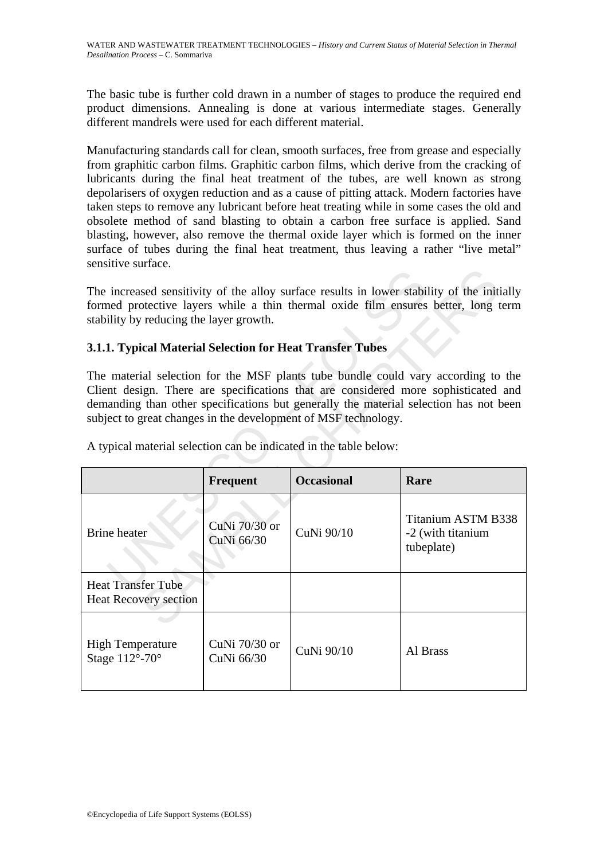The basic tube is further cold drawn in a number of stages to produce the required end product dimensions. Annealing is done at various intermediate stages. Generally different mandrels were used for each different material.

Manufacturing standards call for clean, smooth surfaces, free from grease and especially from graphitic carbon films. Graphitic carbon films, which derive from the cracking of lubricants during the final heat treatment of the tubes, are well known as strong depolarisers of oxygen reduction and as a cause of pitting attack. Modern factories have taken steps to remove any lubricant before heat treating while in some cases the old and obsolete method of sand blasting to obtain a carbon free surface is applied. Sand blasting, however, also remove the thermal oxide layer which is formed on the inner surface of tubes during the final heat treatment, thus leaving a rather "live metal" sensitive surface.

## **3.1.1. Typical Material Selection for Heat Transfer Tubes**

| The increased sensitivity of the alloy surface results in lower stability of the initially<br>formed protective layers while a thin thermal oxide film ensures better, long term<br>stability by reducing the layer growth.                                                                                                                                                                             |                             |            |                                                              |  |  |
|---------------------------------------------------------------------------------------------------------------------------------------------------------------------------------------------------------------------------------------------------------------------------------------------------------------------------------------------------------------------------------------------------------|-----------------------------|------------|--------------------------------------------------------------|--|--|
| 3.1.1. Typical Material Selection for Heat Transfer Tubes                                                                                                                                                                                                                                                                                                                                               |                             |            |                                                              |  |  |
| The material selection for the MSF plants tube bundle could vary according to the<br>Client design. There are specifications that are considered more sophisticated and<br>demanding than other specifications but generally the material selection has not been<br>subject to great changes in the development of MSF technology.<br>A typical material selection can be indicated in the table below: |                             |            |                                                              |  |  |
| <b>Occasional</b><br><b>Frequent</b><br>Rare                                                                                                                                                                                                                                                                                                                                                            |                             |            |                                                              |  |  |
| <b>Brine</b> heater                                                                                                                                                                                                                                                                                                                                                                                     | CuNi 70/30 or<br>CuNi 66/30 | CuNi 90/10 | <b>Titanium ASTM B338</b><br>-2 (with titanium<br>tubeplate) |  |  |
| <b>Heat Transfer Tube</b><br><b>Heat Recovery section</b>                                                                                                                                                                                                                                                                                                                                               |                             |            |                                                              |  |  |
| <b>High Temperature</b><br>Stage 112°-70°                                                                                                                                                                                                                                                                                                                                                               | CuNi 70/30 or<br>CuNi 66/30 | CuNi 90/10 | Al Brass                                                     |  |  |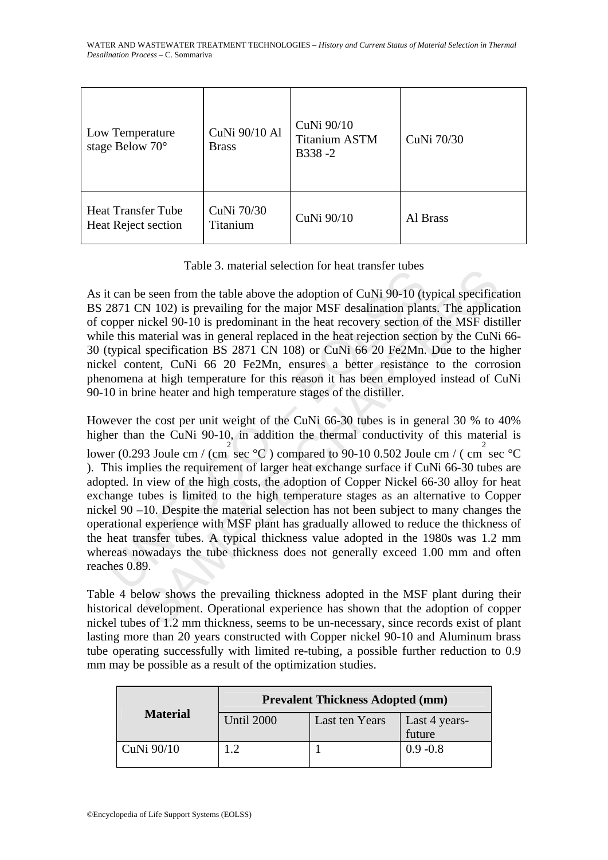| Low Temperature<br>stage Below 70°               | CuNi 90/10 Al<br><b>Brass</b> | CuNi 90/10<br><b>Titanium ASTM</b><br>B338-2 | CuNi 70/30 |
|--------------------------------------------------|-------------------------------|----------------------------------------------|------------|
| <b>Heat Transfer Tube</b><br>Heat Reject section | CuNi 70/30<br><b>Titanium</b> | CuNi 90/10                                   | Al Brass   |

Table 3. material selection for heat transfer tubes

As it can be seen from the table above the adoption of CuNi 90-10 (typical specification BS 2871 CN 102) is prevailing for the major MSF desalination plants. The application of copper nickel 90-10 is predominant in the heat recovery section of the MSF distiller while this material was in general replaced in the heat rejection section by the CuNi 66-30 (typical specification BS 2871 CN 108) or CuNi 66 20 Fe2Mn. Due to the higher nickel content, CuNi 66 20 Fe2Mn, ensures a better resistance to the corrosion phenomena at high temperature for this reason it has been employed instead of CuNi 90-10 in brine heater and high temperature stages of the distiller.

Track 3. Inatellar scheens for heat attacher decessed of CuNi 90-10 (ty<br>2871 CN 102) is prevailing for the major MSF desalination plan<br>opper nickel 90-10 is predominant in the heat recovery section of<br>let this material wa raon. 5. match at selection for heat tankser tabes<br>
SERVI 102) is prevailing for the major MSF desalination plants. The applicativeled 90-10 is predominant in the heat recovery section of the MSF distincted 90-10 is predo However the cost per unit weight of the CuNi 66-30 tubes is in general 30 % to 40% higher than the CuNi 90-10, in addition the thermal conductivity of this material is lower (0.293 Joule cm / (cm<sup>2</sup> sec °C) compared to 90-10 0.502 Joule cm / (cm<sup>2</sup> sec °C) ). This implies the requirement of larger heat exchange surface if CuNi 66-30 tubes are adopted. In view of the high costs, the adoption of Copper Nickel 66-30 alloy for heat exchange tubes is limited to the high temperature stages as an alternative to Copper nickel 90 –10. Despite the material selection has not been subject to many changes the operational experience with MSF plant has gradually allowed to reduce the thickness of the heat transfer tubes. A typical thickness value adopted in the 1980s was 1.2 mm whereas nowadays the tube thickness does not generally exceed 1.00 mm and often reaches 0.89.

Table 4 below shows the prevailing thickness adopted in the MSF plant during their historical development. Operational experience has shown that the adoption of copper nickel tubes of 1.2 mm thickness, seems to be un-necessary, since records exist of plant lasting more than 20 years constructed with Copper nickel 90-10 and Aluminum brass tube operating successfully with limited re-tubing, a possible further reduction to 0.9 mm may be possible as a result of the optimization studies.

| <b>Prevalent Thickness Adopted (mm)</b> |                |               |  |
|-----------------------------------------|----------------|---------------|--|
| <b>Until 2000</b>                       | Last ten Years | Last 4 years- |  |
|                                         |                | future        |  |
|                                         |                | $0.9 - 0.8$   |  |
|                                         |                |               |  |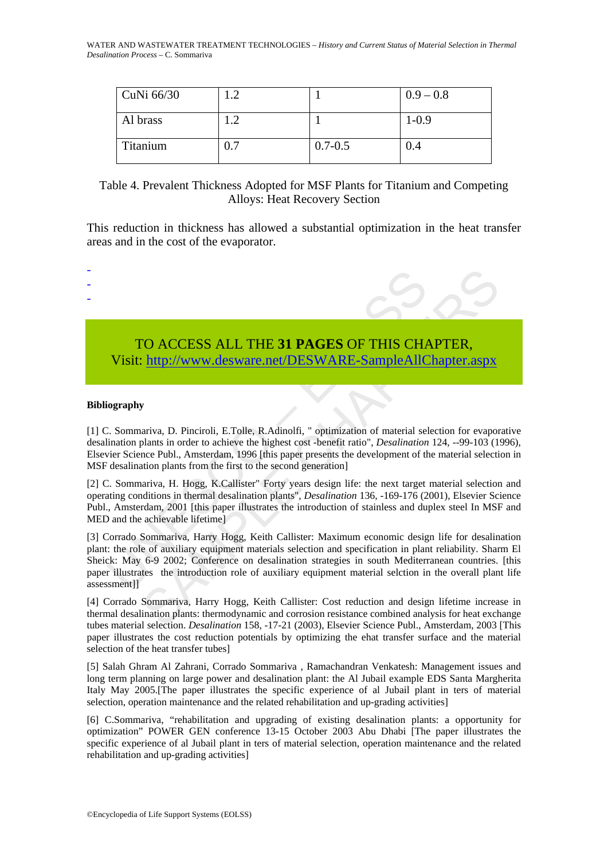| CuNi 66/30 | $\mathcal{D}$ |             | $0.9 - 0.8$ |
|------------|---------------|-------------|-------------|
| Al brass   | ാ             |             | $1-0.9$     |
| Titanium   | 0.7           | $0.7 - 0.5$ | 0.4         |

## Table 4. Prevalent Thickness Adopted for MSF Plants for Titanium and Competing Alloys: Heat Recovery Section

This reduction in thickness has allowed a substantial optimization in the heat transfer areas and in the cost of the evaporator.



#### **Bibliography**

-

[1] C. Sommariva, D. Pinciroli, E.Tolle, R.Adinolfi, " optimization of material selection for evaporative desalination plants in order to achieve the highest cost -benefit ratio", *Desalination* 124, --99-103 (1996), Elsevier Science Publ., Amsterdam, 1996 [this paper presents the development of the material selection in MSF desalination plants from the first to the second generation]

[2] C. Sommariva, H. Hogg, K.Callister" Forty years design life: the next target material selection and operating conditions in thermal desalination plants", *Desalination* 136, -169-176 (2001), Elsevier Science Publ., Amsterdam, 2001 [this paper illustrates the introduction of stainless and duplex steel In MSF and MED and the achievable lifetime]

[3] Corrado Sommariva, Harry Hogg, Keith Callister: Maximum economic design life for desalination plant: the role of auxiliary equipment materials selection and specification in plant reliability. Sharm El Sheick: May 6-9 2002; Conference on desalination strategies in south Mediterranean countries. [this paper illustrates the introduction role of auxiliary equipment material selction in the overall plant life assessment]]

[4] Corrado Sommariva, Harry Hogg, Keith Callister: Cost reduction and design lifetime increase in thermal desalination plants: thermodynamic and corrosion resistance combined analysis for heat exchange tubes material selection. *Desalination* 158, -17-21 (2003), Elsevier Science Publ., Amsterdam, 2003 [This paper illustrates the cost reduction potentials by optimizing the ehat transfer surface and the material selection of the heat transfer tubes]

[5] Salah Ghram Al Zahrani, Corrado Sommariva , Ramachandran Venkatesh: Management issues and long term planning on large power and desalination plant: the Al Jubail example EDS Santa Margherita Italy May 2005.[The paper illustrates the specific experience of al Jubail plant in ters of material selection, operation maintenance and the related rehabilitation and up-grading activities]

[6] C.Sommariva, "rehabilitation and upgrading of existing desalination plants: a opportunity for optimization" POWER GEN conference 13-15 October 2003 Abu Dhabi [The paper illustrates the specific experience of al Jubail plant in ters of material selection, operation maintenance and the related rehabilitation and up-grading activities]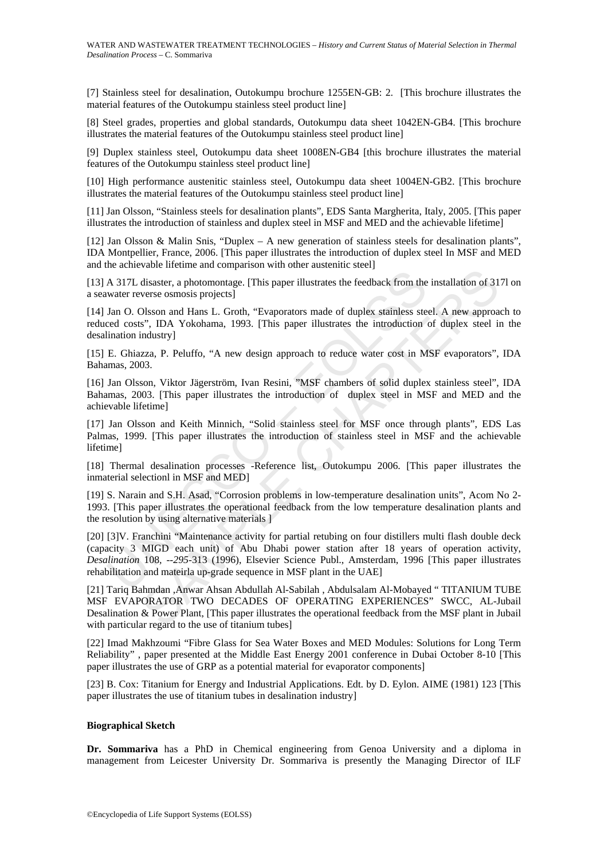[7] Stainless steel for desalination, Outokumpu brochure 1255EN-GB: 2. [This brochure illustrates the material features of the Outokumpu stainless steel product line]

[8] Steel grades, properties and global standards, Outokumpu data sheet 1042EN-GB4. [This brochure illustrates the material features of the Outokumpu stainless steel product line]

[9] Duplex stainless steel, Outokumpu data sheet 1008EN-GB4 [this brochure illustrates the material features of the Outokumpu stainless steel product line]

[10] High performance austenitic stainless steel, Outokumpu data sheet 1004EN-GB2. [This brochure illustrates the material features of the Outokumpu stainless steel product line]

[11] Jan Olsson, "Stainless steels for desalination plants", EDS Santa Margherita, Italy, 2005. [This paper illustrates the introduction of stainless and duplex steel in MSF and MED and the achievable lifetime]

[12] Jan Olsson & Malin Snis, "Duplex – A new generation of stainless steels for desalination plants", IDA Montpellier, France, 2006. [This paper illustrates the introduction of duplex steel In MSF and MED and the achievable lifetime and comparison with other austenitic steel]

[13] A 317L disaster, a photomontage. [This paper illustrates the feedback from the installation of 317l on a seawater reverse osmosis projects]

[14] Jan O. Olsson and Hans L. Groth, "Evaporators made of duplex stainless steel. A new approach to reduced costs", IDA Yokohama, 1993. [This paper illustrates the introduction of duplex steel in the desalination industry]

[15] E. Ghiazza, P. Peluffo, "A new design approach to reduce water cost in MSF evaporators", IDA Bahamas, 2003.

[16] Jan Olsson, Viktor Jägerström, Ivan Resini, "MSF chambers of solid duplex stainless steel", IDA Bahamas, 2003. [This paper illustrates the introduction of duplex steel in MSF and MED and the achievable lifetime]

[17] Jan Olsson and Keith Minnich, "Solid stainless steel for MSF once through plants", EDS Las Palmas, 1999. [This paper illustrates the introduction of stainless steel in MSF and the achievable lifetime]

[18] Thermal desalination processes -Reference list, Outokumpu 2006. [This paper illustrates the inmaterial selectionl in MSF and MED]

[19] S. Narain and S.H. Asad, "Corrosion problems in low-temperature desalination units", Acom No 2- 1993. [This paper illustrates the operational feedback from the low temperature desalination plants and the resolution by using alternative materials ]

A 317L disaster, a photomontage. [This paper illustrates the feedback from the water reverse osmosis projects]<br>Jan O. Olsson and Hans L. Groth, "Evaporators made of duplex stainless steed costs", IDA Yokohama, 1993. [This visor accuration content to the metallic of the state of the state.<br>
disaster, a photomontage. [This paper illustrates the feedback from the installation of 31<br>
verse osmosis projects]<br>
SISson and Hans L. Groth, "Evaporato [20] [3]V. Franchini "Maintenance activity for partial retubing on four distillers multi flash double deck (capacity 3 MIGD each unit) of Abu Dhabi power station after 18 years of operation activity, *Desalination* 108*, --295*-313 (1996), Elsevier Science Publ., Amsterdam, 1996 [This paper illustrates rehabilitation and mateirla up-grade sequence in MSF plant in the UAE]

[21] Tariq Bahmdan ,Anwar Ahsan Abdullah Al-Sabilah , Abdulsalam Al-Mobayed " TITANIUM TUBE MSF EVAPORATOR TWO DECADES OF OPERATING EXPERIENCES" SWCC, AL-Jubail Desalination & Power Plant, [This paper illustrates the operational feedback from the MSF plant in Jubail with particular regard to the use of titanium tubes]

[22] Imad Makhzoumi "Fibre Glass for Sea Water Boxes and MED Modules: Solutions for Long Term Reliability", paper presented at the Middle East Energy 2001 conference in Dubai October 8-10 [This paper illustrates the use of GRP as a potential material for evaporator components]

[23] B. Cox: Titanium for Energy and Industrial Applications. Edt. by D. Eylon. AIME (1981) 123 [This paper illustrates the use of titanium tubes in desalination industry]

#### **Biographical Sketch**

**Dr. Sommariva** has a PhD in Chemical engineering from Genoa University and a diploma in management from Leicester University Dr. Sommariva is presently the Managing Director of ILF